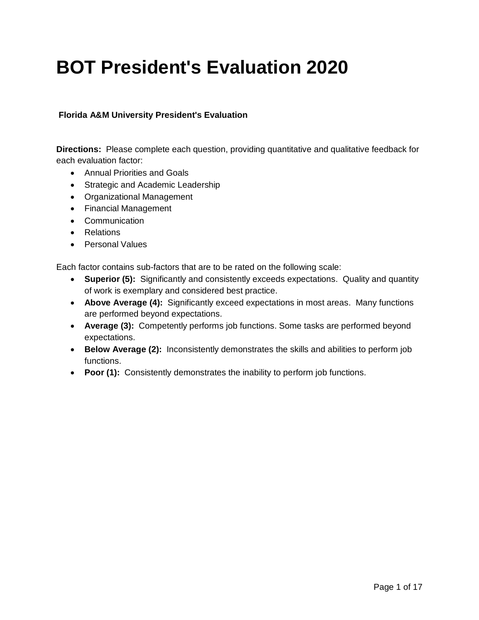# **BOT President's Evaluation 2020**

#### **Florida A&M University President's Evaluation**

**Directions:** Please complete each question, providing quantitative and qualitative feedback for each evaluation factor:

- Annual Priorities and Goals
- Strategic and Academic Leadership
- Organizational Management
- Financial Management
- Communication
- Relations
- Personal Values

Each factor contains sub-factors that are to be rated on the following scale:

- **Superior (5):** Significantly and consistently exceeds expectations. Quality and quantity of work is exemplary and considered best practice.
- **Above Average (4):** Significantly exceed expectations in most areas. Many functions are performed beyond expectations.
- **Average (3):** Competently performs job functions. Some tasks are performed beyond expectations.
- **Below Average (2):** Inconsistently demonstrates the skills and abilities to perform job functions.
- **Poor (1):** Consistently demonstrates the inability to perform job functions.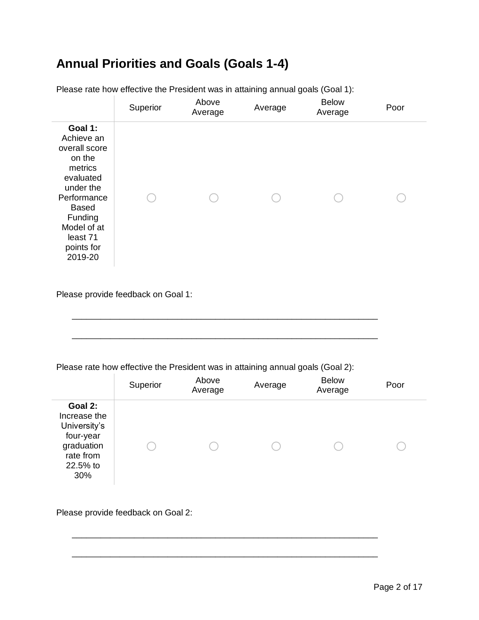### **Annual Priorities and Goals (Goals 1-4)**

|                                                                                                                                                                                     | Superior | Above<br>Average | Average | <b>Below</b><br>Average | Poor |
|-------------------------------------------------------------------------------------------------------------------------------------------------------------------------------------|----------|------------------|---------|-------------------------|------|
| Goal 1:<br>Achieve an<br>overall score<br>on the<br>metrics<br>evaluated<br>under the<br>Performance<br><b>Based</b><br>Funding<br>Model of at<br>least 71<br>points for<br>2019-20 |          |                  |         |                         |      |

Please rate how effective the President was in attaining annual goals (Goal 1):

Please provide feedback on Goal 1:

Please rate how effective the President was in attaining annual goals (Goal 2):

\_\_\_\_\_\_\_\_\_\_\_\_\_\_\_\_\_\_\_\_\_\_\_\_\_\_\_\_\_\_\_\_\_\_\_\_\_\_\_\_\_\_\_\_\_\_\_\_\_\_\_\_\_\_\_\_\_\_\_\_\_\_\_\_

\_\_\_\_\_\_\_\_\_\_\_\_\_\_\_\_\_\_\_\_\_\_\_\_\_\_\_\_\_\_\_\_\_\_\_\_\_\_\_\_\_\_\_\_\_\_\_\_\_\_\_\_\_\_\_\_\_\_\_\_\_\_\_\_

|                                                                                                    | Superior | Above<br>Average | Average | <b>Below</b><br>Average | Poor |
|----------------------------------------------------------------------------------------------------|----------|------------------|---------|-------------------------|------|
| Goal 2:<br>Increase the<br>University's<br>four-year<br>graduation<br>rate from<br>22.5% to<br>30% |          |                  |         |                         |      |

\_\_\_\_\_\_\_\_\_\_\_\_\_\_\_\_\_\_\_\_\_\_\_\_\_\_\_\_\_\_\_\_\_\_\_\_\_\_\_\_\_\_\_\_\_\_\_\_\_\_\_\_\_\_\_\_\_\_\_\_\_\_\_\_

\_\_\_\_\_\_\_\_\_\_\_\_\_\_\_\_\_\_\_\_\_\_\_\_\_\_\_\_\_\_\_\_\_\_\_\_\_\_\_\_\_\_\_\_\_\_\_\_\_\_\_\_\_\_\_\_\_\_\_\_\_\_\_\_

Please provide feedback on Goal 2: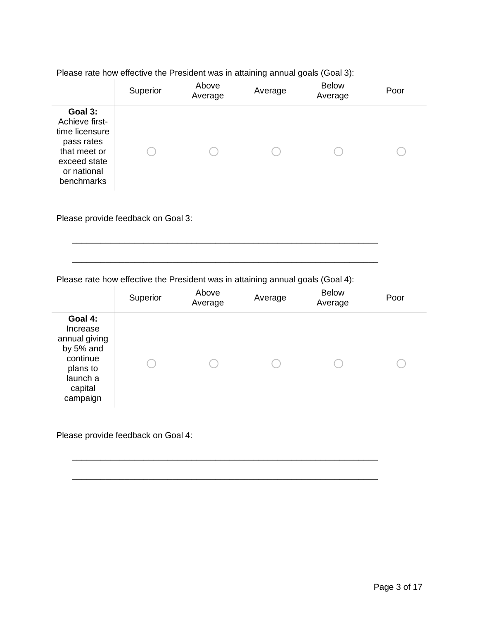Please rate how effective the President was in attaining annual goals (Goal 3):

|                                                                                                                        | Superior | Above<br>Average | Average | <b>Below</b><br>Average | Poor |
|------------------------------------------------------------------------------------------------------------------------|----------|------------------|---------|-------------------------|------|
| Goal 3:<br>Achieve first-<br>time licensure<br>pass rates<br>that meet or<br>exceed state<br>or national<br>benchmarks |          |                  |         |                         |      |

Please provide feedback on Goal 3:

Please rate how effective the President was in attaining annual goals (Goal 4):

\_\_\_\_\_\_\_\_\_\_\_\_\_\_\_\_\_\_\_\_\_\_\_\_\_\_\_\_\_\_\_\_\_\_\_\_\_\_\_\_\_\_\_\_\_\_\_\_\_\_\_\_\_\_\_\_\_\_\_\_\_\_\_\_

|                                                                                                              | Superior | Above<br>Average | Average | <b>Below</b><br>Average | Poor |
|--------------------------------------------------------------------------------------------------------------|----------|------------------|---------|-------------------------|------|
| Goal 4:<br>Increase<br>annual giving<br>by 5% and<br>continue<br>plans to<br>launch a<br>capital<br>campaign |          |                  |         |                         |      |

\_\_\_\_\_\_\_\_\_\_\_\_\_\_\_\_\_\_\_\_\_\_\_\_\_\_\_\_\_\_\_\_\_\_\_\_\_\_\_\_\_\_\_\_\_\_\_\_\_\_\_\_\_\_\_\_\_\_\_\_\_\_\_\_

\_\_\_\_\_\_\_\_\_\_\_\_\_\_\_\_\_\_\_\_\_\_\_\_\_\_\_\_\_\_\_\_\_\_\_\_\_\_\_\_\_\_\_\_\_\_\_\_\_\_\_\_\_\_\_\_\_\_\_\_\_\_\_\_

\_\_\_\_\_\_\_\_\_\_\_\_\_\_\_\_\_\_\_\_\_\_\_\_\_\_\_\_\_\_\_\_\_\_\_\_\_\_\_\_\_\_\_\_\_\_\_\_\_\_\_\_\_\_\_\_\_\_\_\_\_\_\_\_

Please provide feedback on Goal 4: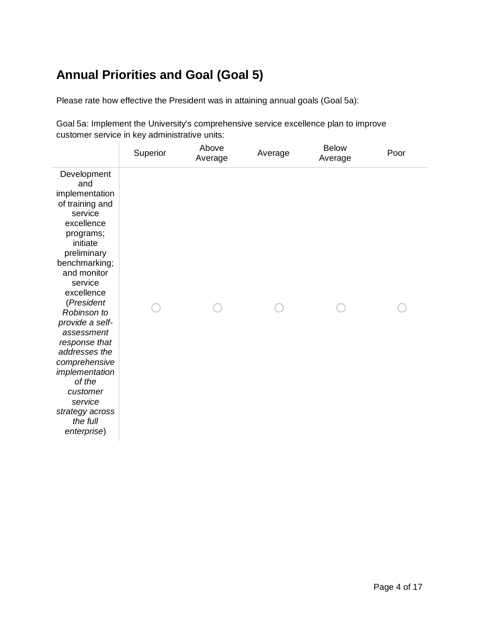# **Annual Priorities and Goal (Goal 5)**

Please rate how effective the President was in attaining annual goals (Goal 5a):

Goal 5a: Implement the University's comprehensive service excellence plan to improve customer service in key administrative units:

|                                                                                                                                                                                                                                                                                                                                                                                                     | Superior | Above<br>Average | Average | <b>Below</b><br>Average | Poor |
|-----------------------------------------------------------------------------------------------------------------------------------------------------------------------------------------------------------------------------------------------------------------------------------------------------------------------------------------------------------------------------------------------------|----------|------------------|---------|-------------------------|------|
| Development<br>and<br>implementation<br>of training and<br>service<br>excellence<br>programs;<br>initiate<br>preliminary<br>benchmarking;<br>and monitor<br>service<br>excellence<br>(President<br>Robinson to<br>provide a self-<br>assessment<br>response that<br>addresses the<br>comprehensive<br>implementation<br>of the<br>customer<br>service<br>strategy across<br>the full<br>enterprise) |          |                  |         |                         |      |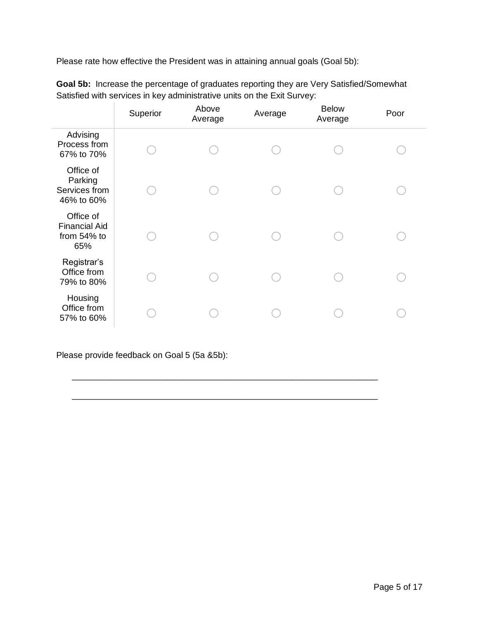Please rate how effective the President was in attaining annual goals (Goal 5b):

|                                                         | Superior | Above<br>Average | Average | <b>Below</b><br>Average | Poor |
|---------------------------------------------------------|----------|------------------|---------|-------------------------|------|
| Advising<br>Process from<br>67% to 70%                  |          |                  |         |                         |      |
| Office of<br>Parking<br>Services from<br>46% to 60%     |          |                  |         |                         |      |
| Office of<br><b>Financial Aid</b><br>from 54% to<br>65% |          |                  |         |                         |      |
| Registrar's<br>Office from<br>79% to 80%                |          |                  |         |                         |      |
| Housing<br>Office from<br>57% to 60%                    |          |                  |         |                         |      |

\_\_\_\_\_\_\_\_\_\_\_\_\_\_\_\_\_\_\_\_\_\_\_\_\_\_\_\_\_\_\_\_\_\_\_\_\_\_\_\_\_\_\_\_\_\_\_\_\_\_\_\_\_\_\_\_\_\_\_\_\_\_\_\_

\_\_\_\_\_\_\_\_\_\_\_\_\_\_\_\_\_\_\_\_\_\_\_\_\_\_\_\_\_\_\_\_\_\_\_\_\_\_\_\_\_\_\_\_\_\_\_\_\_\_\_\_\_\_\_\_\_\_\_\_\_\_\_\_

**Goal 5b:** Increase the percentage of graduates reporting they are Very Satisfied/Somewhat Satisfied with services in key administrative units on the Exit Survey:

Please provide feedback on Goal 5 (5a &5b):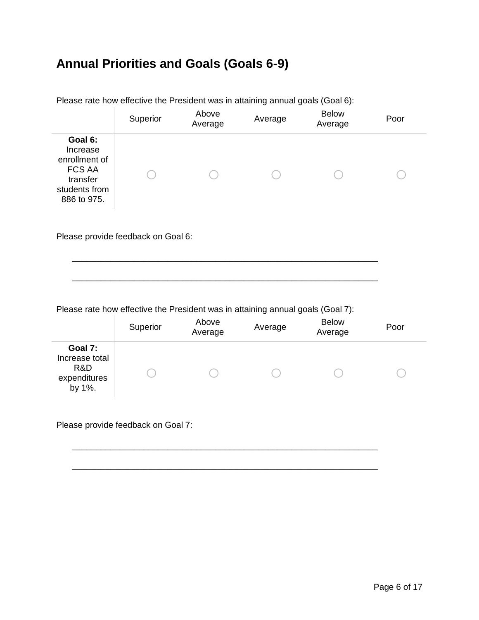### **Annual Priorities and Goals (Goals 6-9)**

|                                                                                                   | Superior | Above<br>Average | Average | <b>Below</b><br>Average | Poor |  |
|---------------------------------------------------------------------------------------------------|----------|------------------|---------|-------------------------|------|--|
| Goal 6:<br>Increase<br>enrollment of<br><b>FCS AA</b><br>transfer<br>students from<br>886 to 975. |          |                  |         |                         |      |  |

Please rate how effective the President was in attaining annual goals (Goal 6):

Please provide feedback on Goal 6:

Please rate how effective the President was in attaining annual goals (Goal 7):

\_\_\_\_\_\_\_\_\_\_\_\_\_\_\_\_\_\_\_\_\_\_\_\_\_\_\_\_\_\_\_\_\_\_\_\_\_\_\_\_\_\_\_\_\_\_\_\_\_\_\_\_\_\_\_\_\_\_\_\_\_\_\_\_

\_\_\_\_\_\_\_\_\_\_\_\_\_\_\_\_\_\_\_\_\_\_\_\_\_\_\_\_\_\_\_\_\_\_\_\_\_\_\_\_\_\_\_\_\_\_\_\_\_\_\_\_\_\_\_\_\_\_\_\_\_\_\_\_

|                                                            | Superior | Above<br>Average | Average | <b>Below</b><br>Average | Poor |
|------------------------------------------------------------|----------|------------------|---------|-------------------------|------|
| Goal 7:<br>Increase total<br>R&D<br>expenditures<br>by 1%. |          |                  |         |                         |      |

\_\_\_\_\_\_\_\_\_\_\_\_\_\_\_\_\_\_\_\_\_\_\_\_\_\_\_\_\_\_\_\_\_\_\_\_\_\_\_\_\_\_\_\_\_\_\_\_\_\_\_\_\_\_\_\_\_\_\_\_\_\_\_\_

\_\_\_\_\_\_\_\_\_\_\_\_\_\_\_\_\_\_\_\_\_\_\_\_\_\_\_\_\_\_\_\_\_\_\_\_\_\_\_\_\_\_\_\_\_\_\_\_\_\_\_\_\_\_\_\_\_\_\_\_\_\_\_\_

Please provide feedback on Goal 7: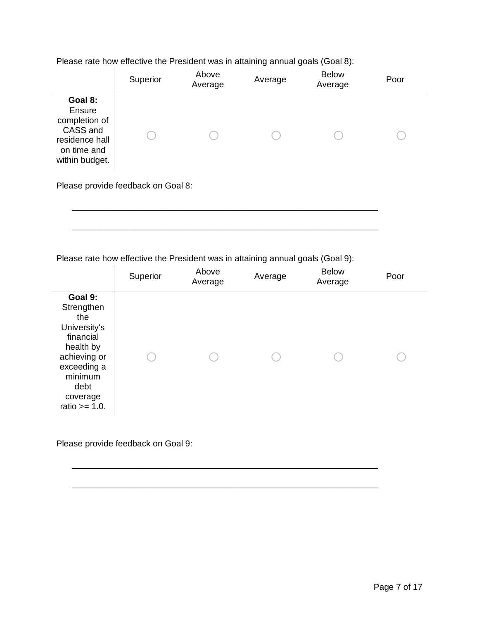Please rate how effective the President was in attaining annual goals (Goal 8):

|                                                                                                   | Superior | Above<br>Average | Average | <b>Below</b><br>Average | Poor |  |  |
|---------------------------------------------------------------------------------------------------|----------|------------------|---------|-------------------------|------|--|--|
| Goal 8:<br>Ensure<br>completion of<br>CASS and<br>residence hall<br>on time and<br>within budget. |          |                  |         |                         |      |  |  |
| Please provide feedback on Goal 8:                                                                |          |                  |         |                         |      |  |  |

\_\_\_\_\_\_\_\_\_\_\_\_\_\_\_\_\_\_\_\_\_\_\_\_\_\_\_\_\_\_\_\_\_\_\_\_\_\_\_\_\_\_\_\_\_\_\_\_\_\_\_\_\_\_\_\_\_\_\_\_\_\_\_\_

\_\_\_\_\_\_\_\_\_\_\_\_\_\_\_\_\_\_\_\_\_\_\_\_\_\_\_\_\_\_\_\_\_\_\_\_\_\_\_\_\_\_\_\_\_\_\_\_\_\_\_\_\_\_\_\_\_\_\_\_\_\_\_\_

Please rate how effective the President was in attaining annual goals (Goal 9):

|                                                                                                                                                          | Superior | Above<br>Average | Average | <b>Below</b><br>Average | Poor |
|----------------------------------------------------------------------------------------------------------------------------------------------------------|----------|------------------|---------|-------------------------|------|
| Goal 9:<br>Strengthen<br>the<br>University's<br>financial<br>health by<br>achieving or<br>exceeding a<br>minimum<br>debt<br>coverage<br>ratio $>= 1.0$ . |          |                  |         |                         |      |

\_\_\_\_\_\_\_\_\_\_\_\_\_\_\_\_\_\_\_\_\_\_\_\_\_\_\_\_\_\_\_\_\_\_\_\_\_\_\_\_\_\_\_\_\_\_\_\_\_\_\_\_\_\_\_\_\_\_\_\_\_\_\_\_

\_\_\_\_\_\_\_\_\_\_\_\_\_\_\_\_\_\_\_\_\_\_\_\_\_\_\_\_\_\_\_\_\_\_\_\_\_\_\_\_\_\_\_\_\_\_\_\_\_\_\_\_\_\_\_\_\_\_\_\_\_\_\_\_

Please provide feedback on Goal 9: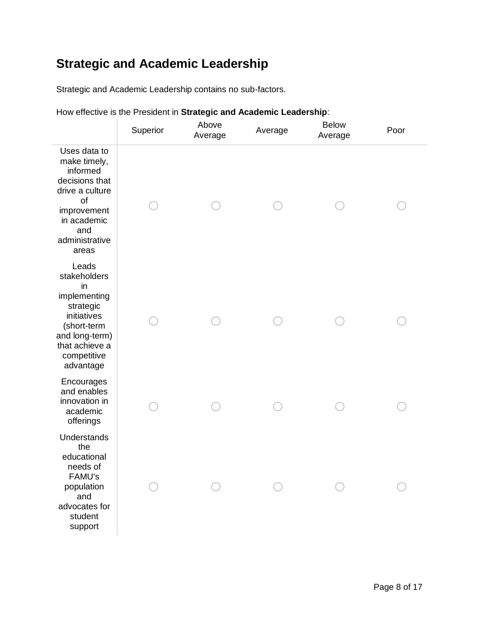# **Strategic and Academic Leadership**

Strategic and Academic Leadership contains no sub-factors.

|  |  | How effective is the President in Strategic and Academic Leadership: |  |  |
|--|--|----------------------------------------------------------------------|--|--|
|  |  |                                                                      |  |  |
|  |  |                                                                      |  |  |

|                                                                                                                                                        | Superior | Above<br>Average | Average | <b>Below</b><br>Average | Poor |
|--------------------------------------------------------------------------------------------------------------------------------------------------------|----------|------------------|---------|-------------------------|------|
| Uses data to<br>make timely,<br>informed<br>decisions that<br>drive a culture<br>of<br>improvement<br>in academic<br>and<br>administrative<br>areas    |          |                  |         |                         |      |
| Leads<br>stakeholders<br>in<br>implementing<br>strategic<br>initiatives<br>(short-term<br>and long-term)<br>that achieve a<br>competitive<br>advantage |          |                  |         |                         |      |
| Encourages<br>and enables<br>innovation in<br>academic<br>offerings                                                                                    |          |                  |         |                         |      |
| Understands<br>the<br>educational<br>needs of<br>FAMU's<br>population<br>and<br>advocates for<br>student<br>support                                    |          |                  |         |                         |      |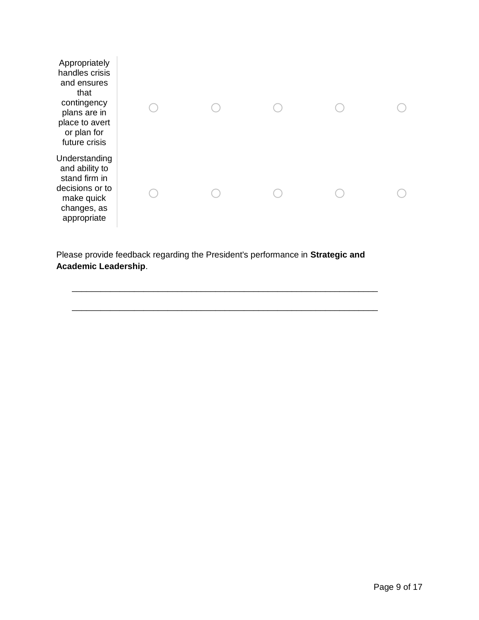| Appropriately<br>handles crisis<br>and ensures<br>that<br>contingency<br>plans are in<br>place to avert<br>or plan for<br>future crisis |  |  |  |
|-----------------------------------------------------------------------------------------------------------------------------------------|--|--|--|
| Understanding<br>and ability to<br>stand firm in<br>decisions or to<br>make quick<br>changes, as<br>appropriate                         |  |  |  |

Please provide feedback regarding the President's performance in **Strategic and Academic Leadership**.

\_\_\_\_\_\_\_\_\_\_\_\_\_\_\_\_\_\_\_\_\_\_\_\_\_\_\_\_\_\_\_\_\_\_\_\_\_\_\_\_\_\_\_\_\_\_\_\_\_\_\_\_\_\_\_\_\_\_\_\_\_\_\_\_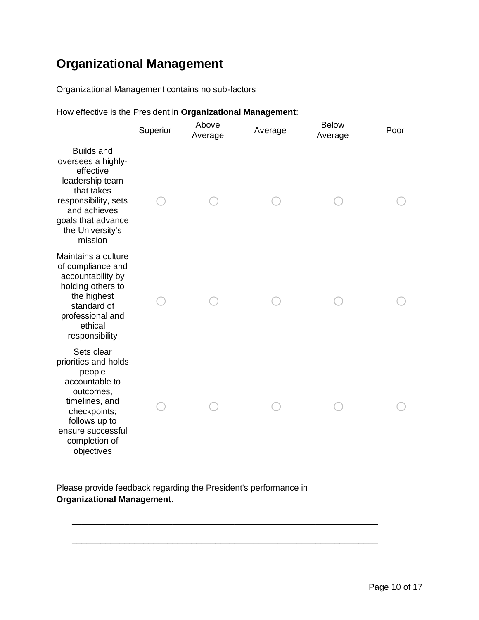# **Organizational Management**

Organizational Management contains no sub-factors

|  |  | How effective is the President in Organizational Management: |  |
|--|--|--------------------------------------------------------------|--|
|  |  |                                                              |  |
|  |  |                                                              |  |

|                                                                                                                                                                                    | Superior | Above<br>Average | Average | <b>Below</b><br>Average | Poor |
|------------------------------------------------------------------------------------------------------------------------------------------------------------------------------------|----------|------------------|---------|-------------------------|------|
| <b>Builds and</b><br>oversees a highly-<br>effective<br>leadership team<br>that takes<br>responsibility, sets<br>and achieves<br>goals that advance<br>the University's<br>mission |          |                  |         |                         |      |
| Maintains a culture<br>of compliance and<br>accountability by<br>holding others to<br>the highest<br>standard of<br>professional and<br>ethical<br>responsibility                  |          |                  |         |                         |      |
| Sets clear<br>priorities and holds<br>people<br>accountable to<br>outcomes,<br>timelines, and<br>checkpoints;<br>follows up to<br>ensure successful<br>completion of<br>objectives |          |                  |         |                         |      |

Please provide feedback regarding the President's performance in **Organizational Management**.

\_\_\_\_\_\_\_\_\_\_\_\_\_\_\_\_\_\_\_\_\_\_\_\_\_\_\_\_\_\_\_\_\_\_\_\_\_\_\_\_\_\_\_\_\_\_\_\_\_\_\_\_\_\_\_\_\_\_\_\_\_\_\_\_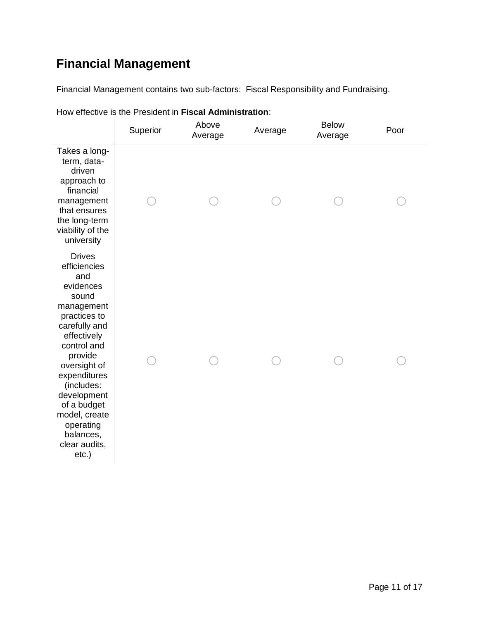# **Financial Management**

Financial Management contains two sub-factors: Fiscal Responsibility and Fundraising.

|                                                                                                                                                                                                                                                                                                        | Superior | Above<br>Average | Average | <b>Below</b><br>Average | Poor |
|--------------------------------------------------------------------------------------------------------------------------------------------------------------------------------------------------------------------------------------------------------------------------------------------------------|----------|------------------|---------|-------------------------|------|
| Takes a long-<br>term, data-<br>driven<br>approach to<br>financial<br>management<br>that ensures<br>the long-term<br>viability of the<br>university                                                                                                                                                    |          |                  |         |                         |      |
| <b>Drives</b><br>efficiencies<br>and<br>evidences<br>sound<br>management<br>practices to<br>carefully and<br>effectively<br>control and<br>provide<br>oversight of<br>expenditures<br>(includes:<br>development<br>of a budget<br>model, create<br>operating<br>balances,<br>clear audits,<br>$etc.$ ) |          |                  |         |                         |      |

How effective is the President in **Fiscal Administration**: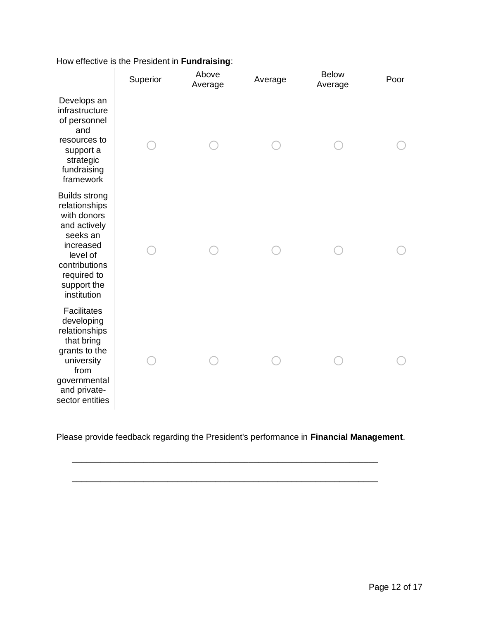|                                                                                                                                                                         | Superior | Above<br>Average | Average | <b>Below</b><br>Average | Poor |
|-------------------------------------------------------------------------------------------------------------------------------------------------------------------------|----------|------------------|---------|-------------------------|------|
| Develops an<br>infrastructure<br>of personnel<br>and<br>resources to<br>support a<br>strategic<br>fundraising<br>framework                                              |          |                  |         |                         |      |
| <b>Builds strong</b><br>relationships<br>with donors<br>and actively<br>seeks an<br>increased<br>level of<br>contributions<br>required to<br>support the<br>institution |          |                  |         |                         |      |
| <b>Facilitates</b><br>developing<br>relationships<br>that bring<br>grants to the<br>university<br>from<br>governmental<br>and private-<br>sector entities               |          |                  |         |                         |      |

How effective is the President in **Fundraising**:

Please provide feedback regarding the President's performance in **Financial Management**.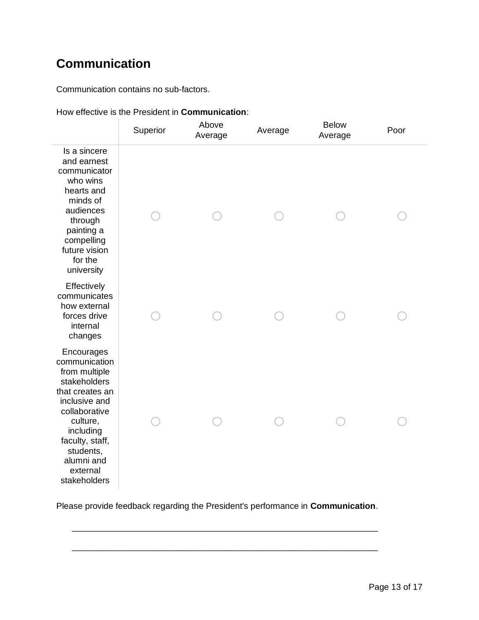# **Communication**

Communication contains no sub-factors.

|                                                                                                                                                                                                                      | Superior | Above<br>Average | Average | <b>Below</b><br>Average | Poor |
|----------------------------------------------------------------------------------------------------------------------------------------------------------------------------------------------------------------------|----------|------------------|---------|-------------------------|------|
| Is a sincere<br>and earnest<br>communicator<br>who wins<br>hearts and<br>minds of<br>audiences<br>through<br>painting a<br>compelling<br>future vision<br>for the<br>university                                      |          |                  |         |                         |      |
| Effectively<br>communicates<br>how external<br>forces drive<br>internal<br>changes                                                                                                                                   |          |                  |         |                         |      |
| Encourages<br>communication<br>from multiple<br>stakeholders<br>that creates an<br>inclusive and<br>collaborative<br>culture,<br>including<br>faculty, staff,<br>students,<br>alumni and<br>external<br>stakeholders |          |                  |         |                         |      |

How effective is the President in **Communication**:

Please provide feedback regarding the President's performance in **Communication**.

\_\_\_\_\_\_\_\_\_\_\_\_\_\_\_\_\_\_\_\_\_\_\_\_\_\_\_\_\_\_\_\_\_\_\_\_\_\_\_\_\_\_\_\_\_\_\_\_\_\_\_\_\_\_\_\_\_\_\_\_\_\_\_\_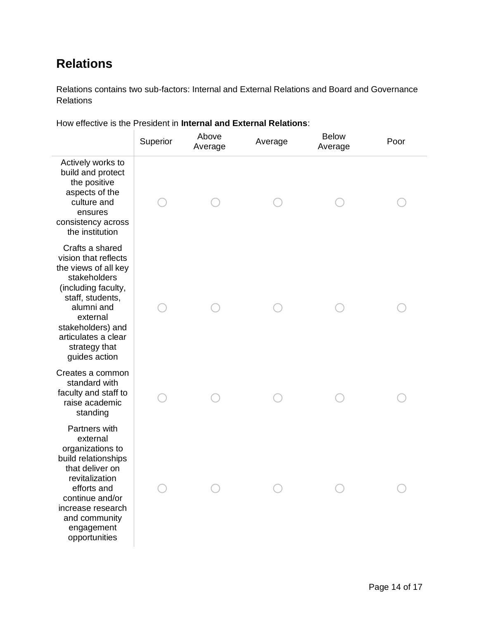## **Relations**

Relations contains two sub-factors: Internal and External Relations and Board and Governance Relations

How effective is the President in **Internal and External Relations**:

|                                                                                                                                                                                                                                    | Superior | Above<br>Average | Average | <b>Below</b><br>Average | Poor |
|------------------------------------------------------------------------------------------------------------------------------------------------------------------------------------------------------------------------------------|----------|------------------|---------|-------------------------|------|
| Actively works to<br>build and protect<br>the positive<br>aspects of the<br>culture and<br>ensures<br>consistency across<br>the institution                                                                                        |          |                  |         |                         |      |
| Crafts a shared<br>vision that reflects<br>the views of all key<br>stakeholders<br>(including faculty,<br>staff, students,<br>alumni and<br>external<br>stakeholders) and<br>articulates a clear<br>strategy that<br>guides action |          |                  |         |                         |      |
| Creates a common<br>standard with<br>faculty and staff to<br>raise academic<br>standing                                                                                                                                            |          |                  |         |                         |      |
| Partners with<br>external<br>organizations to<br>build relationships<br>that deliver on<br>revitalization<br>efforts and<br>continue and/or<br>increase research<br>and community<br>engagement<br>opportunities                   |          |                  |         |                         |      |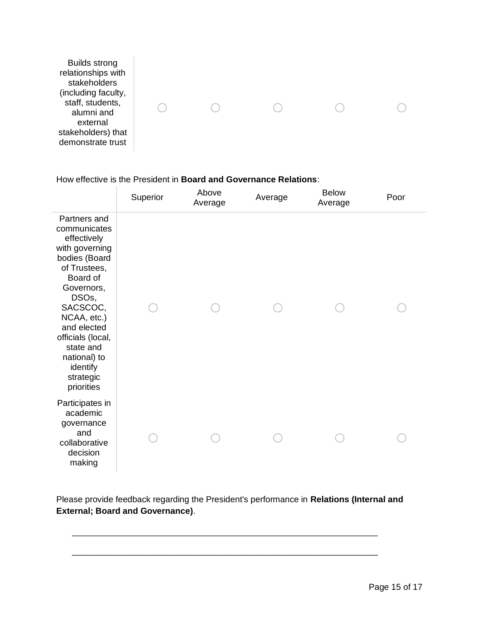| <b>Builds strong</b><br>relationships with<br>stakeholders<br>(including faculty,<br>staff, students,<br>alumni and<br>external<br>stakeholders) that |  |  |  |
|-------------------------------------------------------------------------------------------------------------------------------------------------------|--|--|--|
| demonstrate trust                                                                                                                                     |  |  |  |

#### How effective is the President in **Board and Governance Relations**:

|                                                                                                                                                                                                                                                                      | Superior | Above<br>Average | Average | <b>Below</b><br>Average | Poor |
|----------------------------------------------------------------------------------------------------------------------------------------------------------------------------------------------------------------------------------------------------------------------|----------|------------------|---------|-------------------------|------|
| Partners and<br>communicates<br>effectively<br>with governing<br>bodies (Board<br>of Trustees,<br>Board of<br>Governors,<br>DSOs,<br>SACSCOC,<br>NCAA, etc.)<br>and elected<br>officials (local,<br>state and<br>national) to<br>identify<br>strategic<br>priorities |          |                  |         |                         |      |
| Participates in<br>academic<br>governance<br>and<br>collaborative<br>decision<br>making                                                                                                                                                                              |          |                  |         |                         |      |

Please provide feedback regarding the President's performance in **Relations (Internal and External; Board and Governance)**.

\_\_\_\_\_\_\_\_\_\_\_\_\_\_\_\_\_\_\_\_\_\_\_\_\_\_\_\_\_\_\_\_\_\_\_\_\_\_\_\_\_\_\_\_\_\_\_\_\_\_\_\_\_\_\_\_\_\_\_\_\_\_\_\_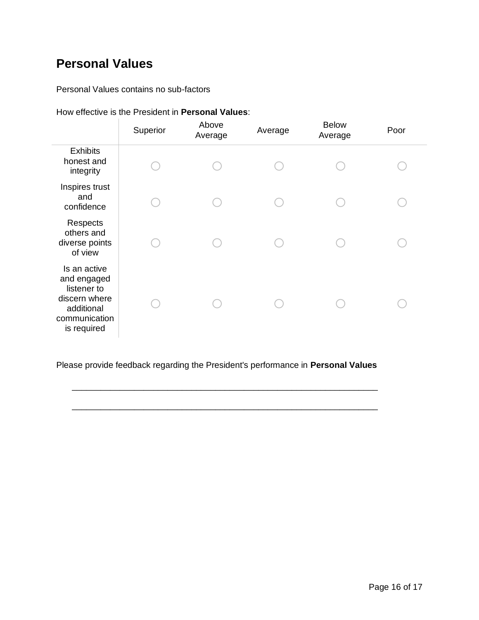### **Personal Values**

Personal Values contains no sub-factors

#### How effective is the President in **Personal Values**:

|                                                                                                           | Superior | Above<br>Average | Average | <b>Below</b><br>Average | Poor |
|-----------------------------------------------------------------------------------------------------------|----------|------------------|---------|-------------------------|------|
| <b>Exhibits</b><br>honest and<br>integrity                                                                |          |                  |         |                         |      |
| Inspires trust<br>and<br>confidence                                                                       |          |                  |         |                         |      |
| Respects<br>others and<br>diverse points<br>of view                                                       |          |                  |         |                         |      |
| Is an active<br>and engaged<br>listener to<br>discern where<br>additional<br>communication<br>is required |          |                  |         |                         |      |

Please provide feedback regarding the President's performance in **Personal Values**

\_\_\_\_\_\_\_\_\_\_\_\_\_\_\_\_\_\_\_\_\_\_\_\_\_\_\_\_\_\_\_\_\_\_\_\_\_\_\_\_\_\_\_\_\_\_\_\_\_\_\_\_\_\_\_\_\_\_\_\_\_\_\_\_